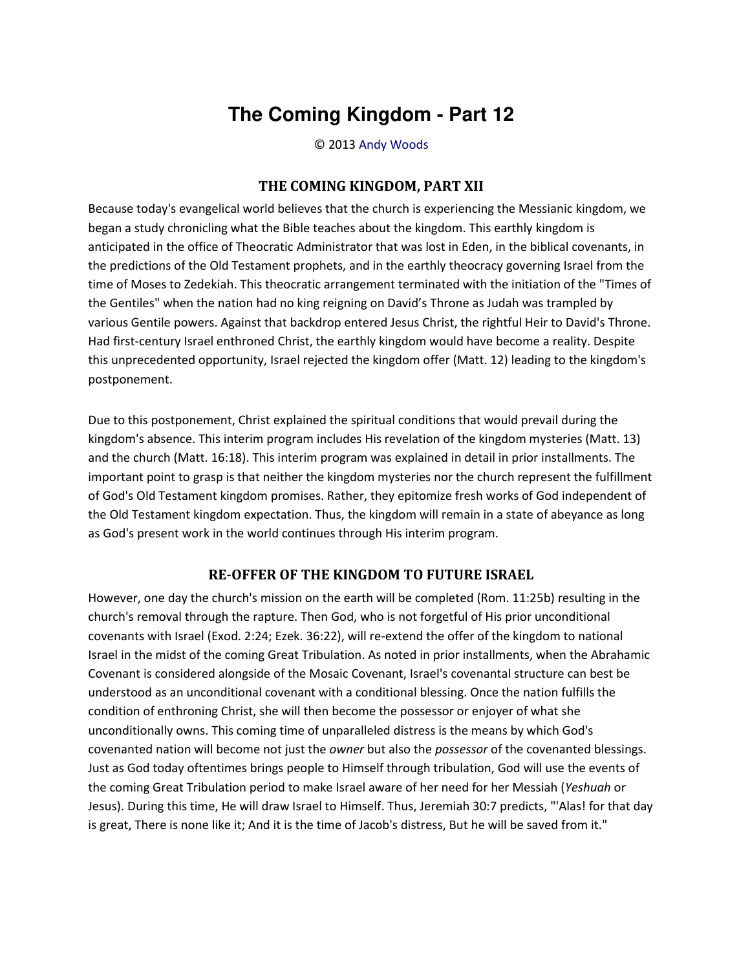## **The Coming Kingdom - Part 12**

© 2013 [Andy Woods](http://www.spiritandtruth.org/id/aw.htm)

## **THE COMING KINGDOM, PART XII**

Because today's evangelical world believes that the church is experiencing the Messianic kingdom, we began a study chronicling what the Bible teaches about the kingdom. This earthly kingdom is anticipated in the office of Theocratic Administrator that was lost in Eden, in the biblical covenants, in the predictions of the Old Testament prophets, and in the earthly theocracy governing Israel from the time of Moses to Zedekiah. This theocratic arrangement terminated with the initiation of the "Times of the Gentiles" when the nation had no king reigning on David's Throne as Judah was trampled by various Gentile powers. Against that backdrop entered Jesus Christ, the rightful Heir to David's Throne. Had first-century Israel enthroned Christ, the earthly kingdom would have become a reality. Despite this unprecedented opportunity, Israel rejected the kingdom offer (Matt. 12) leading to the kingdom's postponement.

Due to this postponement, Christ explained the spiritual conditions that would prevail during the kingdom's absence. This interim program includes His revelation of the kingdom mysteries (Matt. 13) and the church (Matt. 16:18). This interim program was explained in detail in prior installments. The important point to grasp is that neither the kingdom mysteries nor the church represent the fulfillment of God's Old Testament kingdom promises. Rather, they epitomize fresh works of God independent of the Old Testament kingdom expectation. Thus, the kingdom will remain in a state of abeyance as long as God's present work in the world continues through His interim program.

## **RE-OFFER OF THE KINGDOM TO FUTURE ISRAEL**

However, one day the church's mission on the earth will be completed (Rom. 11:25b) resulting in the church's removal through the rapture. Then God, who is not forgetful of His prior unconditional covenants with Israel (Exod. 2:24; Ezek. 36:22), will re-extend the offer of the kingdom to national Israel in the midst of the coming Great Tribulation. As noted in prior installments, when the Abrahamic Covenant is considered alongside of the Mosaic Covenant, Israel's covenantal structure can best be understood as an unconditional covenant with a conditional blessing. Once the nation fulfills the condition of enthroning Christ, she will then become the possessor or enjoyer of what she unconditionally owns. This coming time of unparalleled distress is the means by which God's covenanted nation will become not just the *owner* but also the *possessor* of the covenanted blessings. Just as God today oftentimes brings people to Himself through tribulation, God will use the events of the coming Great Tribulation period to make Israel aware of her need for her Messiah (*Yeshuah* or Jesus). During this time, He will draw Israel to Himself. Thus, Jeremiah 30:7 predicts, "'Alas! for that day is great, There is none like it; And it is the time of Jacob's distress, But he will be saved from it."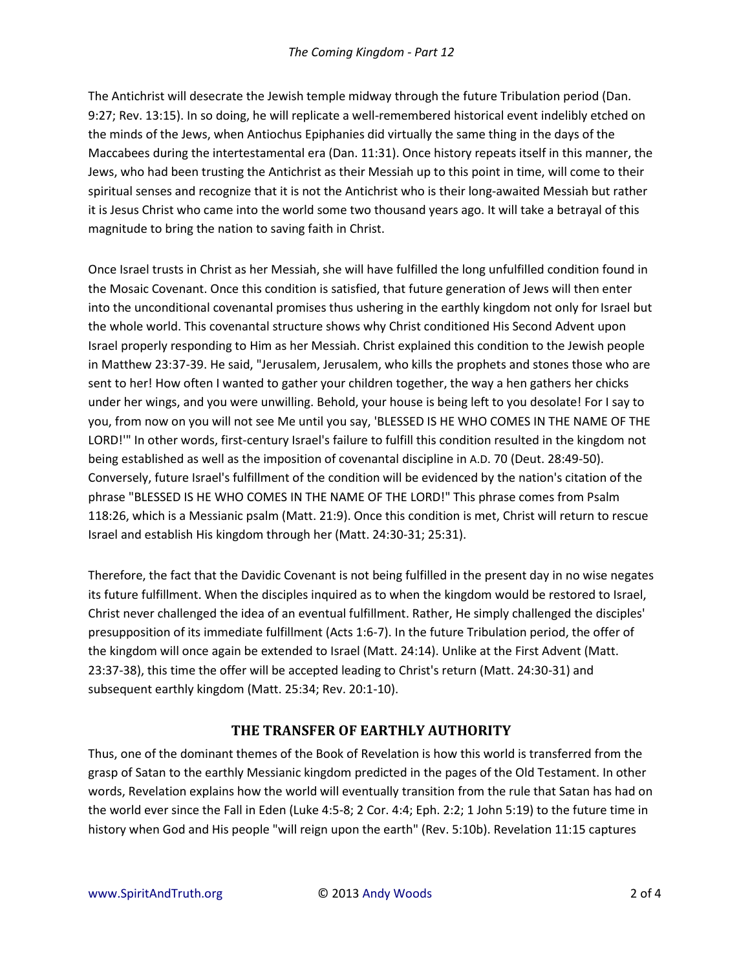The Antichrist will desecrate the Jewish temple midway through the future Tribulation period (Dan. 9:27; Rev. 13:15). In so doing, he will replicate a well-remembered historical event indelibly etched on the minds of the Jews, when Antiochus Epiphanies did virtually the same thing in the days of the Maccabees during the intertestamental era (Dan. 11:31). Once history repeats itself in this manner, the Jews, who had been trusting the Antichrist as their Messiah up to this point in time, will come to their spiritual senses and recognize that it is not the Antichrist who is their long-awaited Messiah but rather it is Jesus Christ who came into the world some two thousand years ago. It will take a betrayal of this magnitude to bring the nation to saving faith in Christ.

Once Israel trusts in Christ as her Messiah, she will have fulfilled the long unfulfilled condition found in the Mosaic Covenant. Once this condition is satisfied, that future generation of Jews will then enter into the unconditional covenantal promises thus ushering in the earthly kingdom not only for Israel but the whole world. This covenantal structure shows why Christ conditioned His Second Advent upon Israel properly responding to Him as her Messiah. Christ explained this condition to the Jewish people in Matthew 23:37-39. He said, "Jerusalem, Jerusalem, who kills the prophets and stones those who are sent to her! How often I wanted to gather your children together, the way a hen gathers her chicks under her wings, and you were unwilling. Behold, your house is being left to you desolate! For I say to you, from now on you will not see Me until you say, 'BLESSED IS HE WHO COMES IN THE NAME OF THE LORD!'" In other words, first-century Israel's failure to fulfill this condition resulted in the kingdom not being established as well as the imposition of covenantal discipline in A.D. 70 (Deut. 28:49-50). Conversely, future Israel's fulfillment of the condition will be evidenced by the nation's citation of the phrase "BLESSED IS HE WHO COMES IN THE NAME OF THE LORD!" This phrase comes from Psalm 118:26, which is a Messianic psalm (Matt. 21:9). Once this condition is met, Christ will return to rescue Israel and establish His kingdom through her (Matt. 24:30-31; 25:31).

Therefore, the fact that the Davidic Covenant is not being fulfilled in the present day in no wise negates its future fulfillment. When the disciples inquired as to when the kingdom would be restored to Israel, Christ never challenged the idea of an eventual fulfillment. Rather, He simply challenged the disciples' presupposition of its immediate fulfillment (Acts 1:6-7). In the future Tribulation period, the offer of the kingdom will once again be extended to Israel (Matt. 24:14). Unlike at the First Advent (Matt. 23:37-38), this time the offer will be accepted leading to Christ's return (Matt. 24:30-31) and subsequent earthly kingdom (Matt. 25:34; Rev. 20:1-10).

## **THE TRANSFER OF EARTHLY AUTHORITY**

Thus, one of the dominant themes of the Book of Revelation is how this world is transferred from the grasp of Satan to the earthly Messianic kingdom predicted in the pages of the Old Testament. In other words, Revelation explains how the world will eventually transition from the rule that Satan has had on the world ever since the Fall in Eden (Luke 4:5-8; 2 Cor. 4:4; Eph. 2:2; 1 John 5:19) to the future time in history when God and His people "will reign upon the earth" (Rev. 5:10b). Revelation 11:15 captures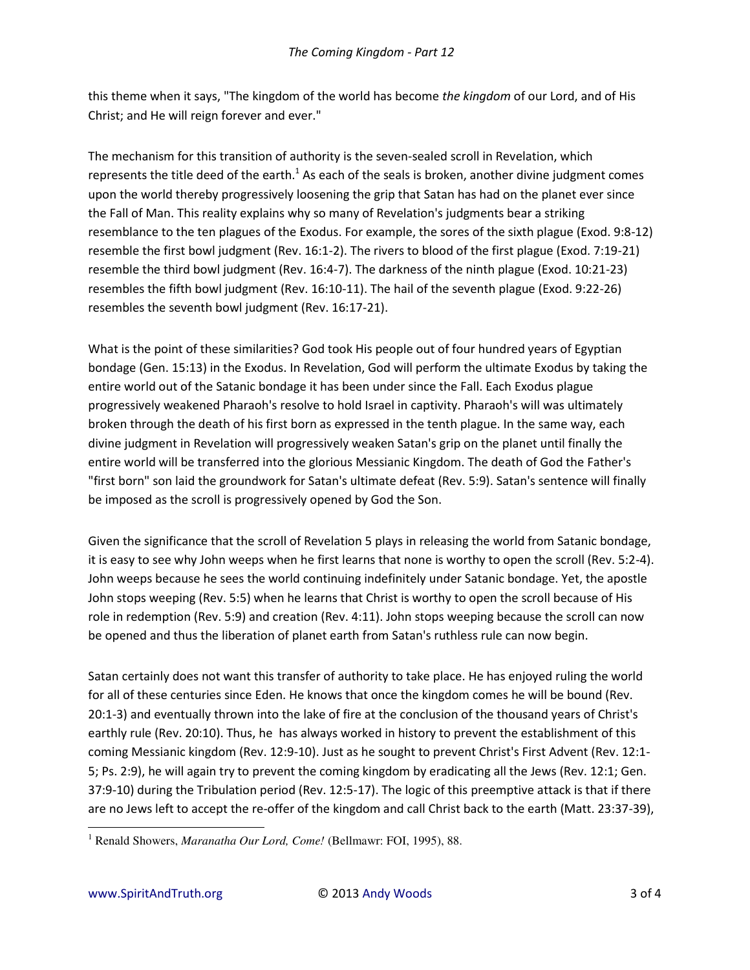this theme when it says, "The kingdom of the world has become *the kingdom* of our Lord, and of His Christ; and He will reign forever and ever."

The mechanism for this transition of authority is the seven-sealed scroll in Revelation, which represents the title deed of the earth.<sup>1</sup> As each of the seals is broken, another divine judgment comes upon the world thereby progressively loosening the grip that Satan has had on the planet ever since the Fall of Man. This reality explains why so many of Revelation's judgments bear a striking resemblance to the ten plagues of the Exodus. For example, the sores of the sixth plague (Exod. 9:8-12) resemble the first bowl judgment (Rev. 16:1-2). The rivers to blood of the first plague (Exod. 7:19-21) resemble the third bowl judgment (Rev. 16:4-7). The darkness of the ninth plague (Exod. 10:21-23) resembles the fifth bowl judgment (Rev. 16:10-11). The hail of the seventh plague (Exod. 9:22-26) resembles the seventh bowl judgment (Rev. 16:17-21).

What is the point of these similarities? God took His people out of four hundred years of Egyptian bondage (Gen. 15:13) in the Exodus. In Revelation, God will perform the ultimate Exodus by taking the entire world out of the Satanic bondage it has been under since the Fall. Each Exodus plague progressively weakened Pharaoh's resolve to hold Israel in captivity. Pharaoh's will was ultimately broken through the death of his first born as expressed in the tenth plague. In the same way, each divine judgment in Revelation will progressively weaken Satan's grip on the planet until finally the entire world will be transferred into the glorious Messianic Kingdom. The death of God the Father's "first born" son laid the groundwork for Satan's ultimate defeat (Rev. 5:9). Satan's sentence will finally be imposed as the scroll is progressively opened by God the Son.

Given the significance that the scroll of Revelation 5 plays in releasing the world from Satanic bondage, it is easy to see why John weeps when he first learns that none is worthy to open the scroll (Rev. 5:2-4). John weeps because he sees the world continuing indefinitely under Satanic bondage. Yet, the apostle John stops weeping (Rev. 5:5) when he learns that Christ is worthy to open the scroll because of His role in redemption (Rev. 5:9) and creation (Rev. 4:11). John stops weeping because the scroll can now be opened and thus the liberation of planet earth from Satan's ruthless rule can now begin.

Satan certainly does not want this transfer of authority to take place. He has enjoyed ruling the world for all of these centuries since Eden. He knows that once the kingdom comes he will be bound (Rev. 20:1-3) and eventually thrown into the lake of fire at the conclusion of the thousand years of Christ's earthly rule (Rev. 20:10). Thus, he has always worked in history to prevent the establishment of this coming Messianic kingdom (Rev. 12:9-10). Just as he sought to prevent Christ's First Advent (Rev. 12:1- 5; Ps. 2:9), he will again try to prevent the coming kingdom by eradicating all the Jews (Rev. 12:1; Gen. 37:9-10) during the Tribulation period (Rev. 12:5-17). The logic of this preemptive attack is that if there are no Jews left to accept the re-offer of the kingdom and call Christ back to the earth (Matt. 23:37-39),

 $\overline{a}$ 

<sup>&</sup>lt;sup>1</sup> Renald Showers, *Maranatha Our Lord, Come!* (Bellmawr: FOI, 1995), 88.